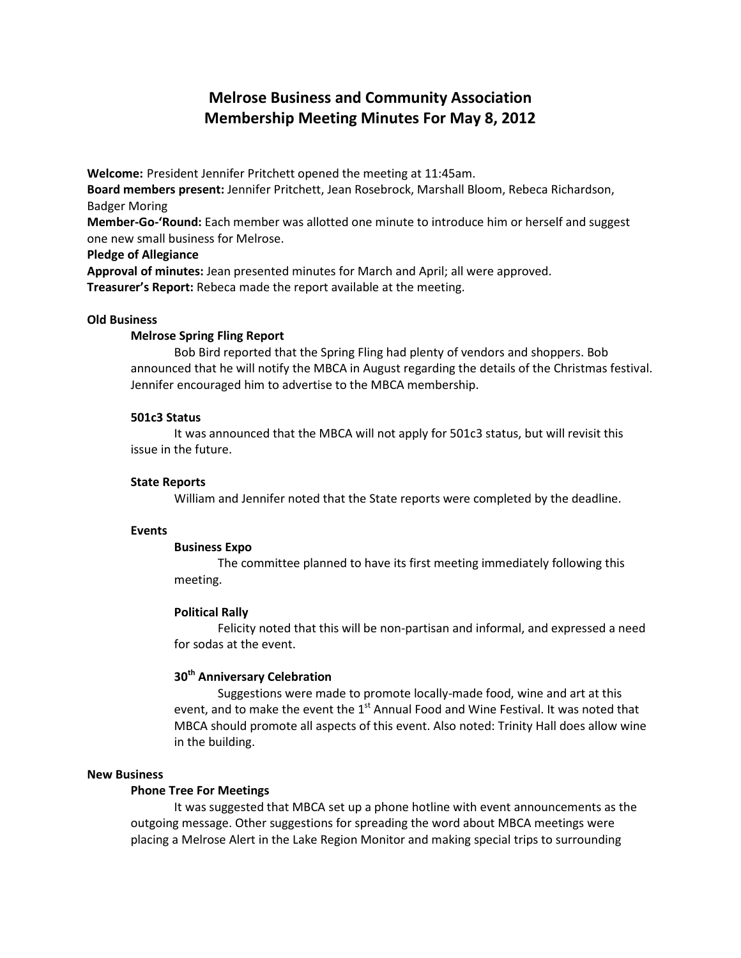# Melrose Business and Community Association Membership Meeting Minutes For May 8, 2012

Welcome: President Jennifer Pritchett opened the meeting at 11:45am.

Board members present: Jennifer Pritchett, Jean Rosebrock, Marshall Bloom, Rebeca Richardson, Badger Moring

Member-Go-'Round: Each member was allotted one minute to introduce him or herself and suggest one new small business for Melrose.

## Pledge of Allegiance

Approval of minutes: Jean presented minutes for March and April; all were approved. Treasurer's Report: Rebeca made the report available at the meeting.

## Old Business

## Melrose Spring Fling Report

Bob Bird reported that the Spring Fling had plenty of vendors and shoppers. Bob announced that he will notify the MBCA in August regarding the details of the Christmas festival. Jennifer encouraged him to advertise to the MBCA membership.

## 501c3 Status

It was announced that the MBCA will not apply for 501c3 status, but will revisit this issue in the future.

#### State Reports

William and Jennifer noted that the State reports were completed by the deadline.

#### Events

#### Business Expo

The committee planned to have its first meeting immediately following this meeting.

#### Political Rally

Felicity noted that this will be non-partisan and informal, and expressed a need for sodas at the event.

## 30<sup>th</sup> Anniversary Celebration

Suggestions were made to promote locally-made food, wine and art at this event, and to make the event the  $1<sup>st</sup>$  Annual Food and Wine Festival. It was noted that MBCA should promote all aspects of this event. Also noted: Trinity Hall does allow wine in the building.

#### New Business

#### Phone Tree For Meetings

It was suggested that MBCA set up a phone hotline with event announcements as the outgoing message. Other suggestions for spreading the word about MBCA meetings were placing a Melrose Alert in the Lake Region Monitor and making special trips to surrounding